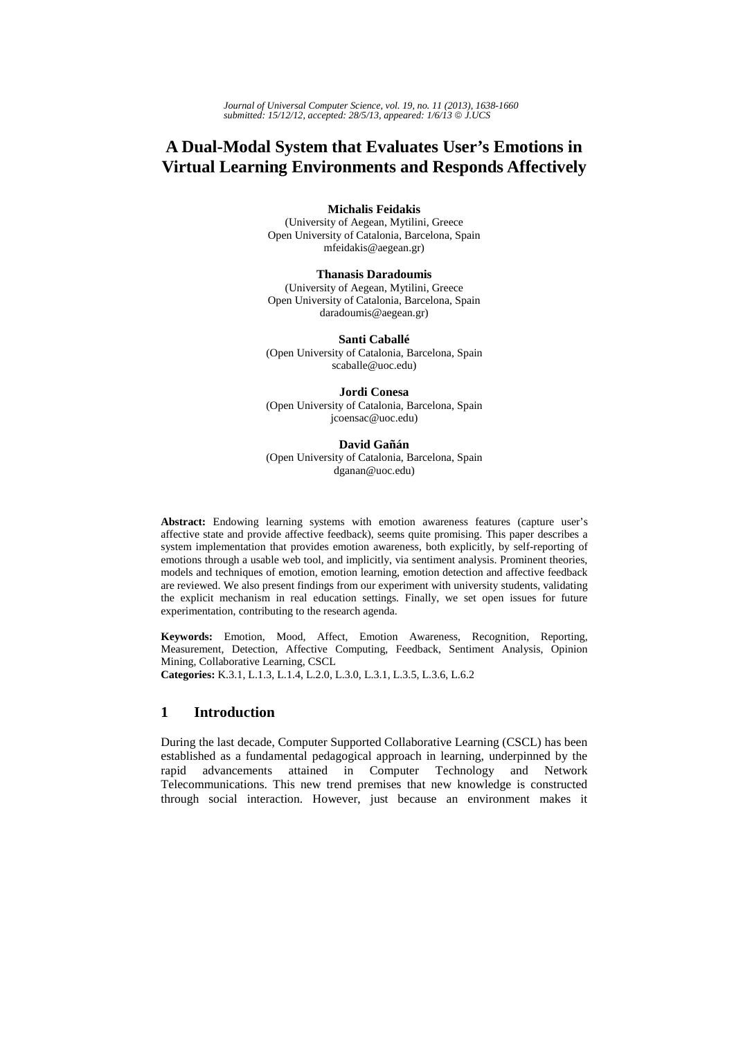# **A Dual-Modal System that Evaluates User's Emotions in Virtual Learning Environments and Responds Affectively**

**Michalis Feidakis** 

(University of Aegean, Mytilini, Greece Open University of Catalonia, Barcelona, Spain mfeidakis@aegean.gr)

**Thanasis Daradoumis**

(University of Aegean, Mytilini, Greece Open University of Catalonia, Barcelona, Spain daradoumis@aegean.gr)

**Santi Caballé**  (Open University of Catalonia, Barcelona, Spain scaballe@uoc.edu)

**Jordi Conesa** (Open University of Catalonia, Barcelona, Spain jcoensac@uoc.edu)

**David Gañán** (Open University of Catalonia, Barcelona, Spain dganan@uoc.edu)

Abstract: Endowing learning systems with emotion awareness features (capture user's affective state and provide affective feedback), seems quite promising. This paper describes a system implementation that provides emotion awareness, both explicitly, by self-reporting of emotions through a usable web tool, and implicitly, via sentiment analysis. Prominent theories, models and techniques of emotion, emotion learning, emotion detection and affective feedback are reviewed. We also present findings from our experiment with university students, validating the explicit mechanism in real education settings. Finally, we set open issues for future experimentation, contributing to the research agenda.

**Keywords:** Emotion, Mood, Affect, Emotion Awareness, Recognition, Reporting, Measurement, Detection, Affective Computing, Feedback, Sentiment Analysis, Opinion Mining, Collaborative Learning, CSCL **Categories:** K.3.1, L.1.3, L.1.4, L.2.0, L.3.0, L.3.1, L.3.5, L.3.6, L.6.2

## **1 Introduction**

During the last decade, Computer Supported Collaborative Learning (CSCL) has been established as a fundamental pedagogical approach in learning, underpinned by the rapid advancements attained in Computer Technology and Network Telecommunications. This new trend premises that new knowledge is constructed through social interaction. However, just because an environment makes it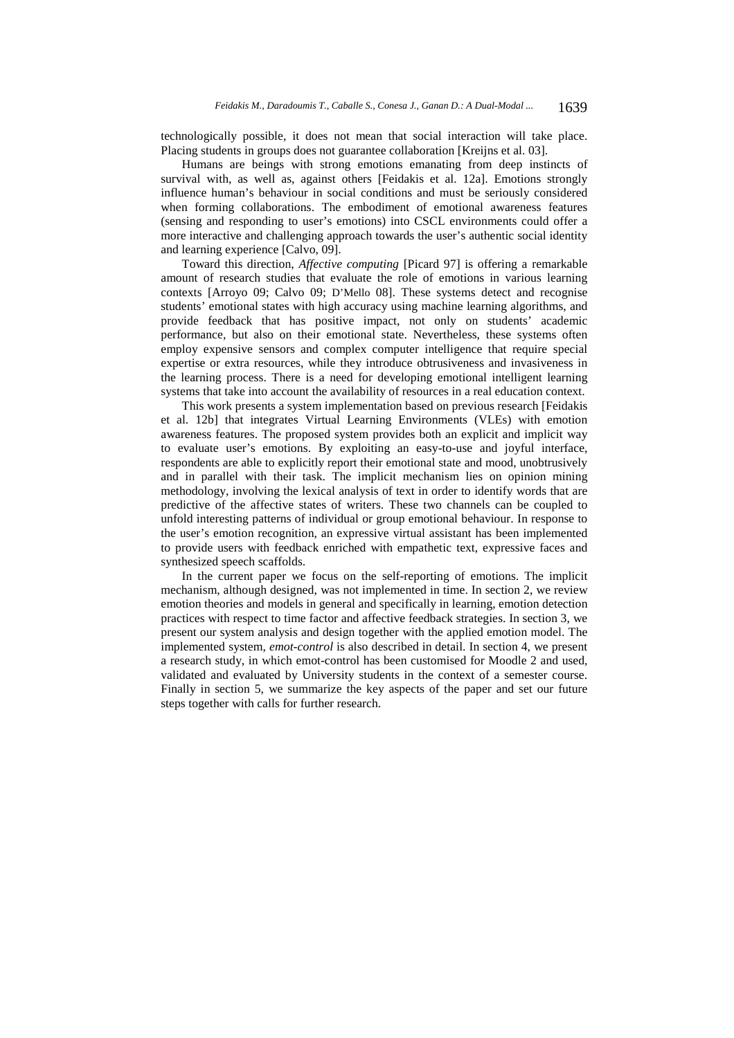technologically possible, it does not mean that social interaction will take place. Placing students in groups does not guarantee collaboration [Kreijns et al. 03].

Humans are beings with strong emotions emanating from deep instincts of survival with, as well as, against others [Feidakis et al. 12a]. Emotions strongly influence human's behaviour in social conditions and must be seriously considered when forming collaborations. The embodiment of emotional awareness features (sensing and responding to user's emotions) into CSCL environments could offer a more interactive and challenging approach towards the user's authentic social identity and learning experience [Calvo, 09].

Toward this direction, *Affective computing* [Picard 97] is offering a remarkable amount of research studies that evaluate the role of emotions in various learning contexts [Arroyo 09; Calvo 09; D'Mello 08]. These systems detect and recognise students' emotional states with high accuracy using machine learning algorithms, and provide feedback that has positive impact, not only on students' academic performance, but also on their emotional state. Nevertheless, these systems often employ expensive sensors and complex computer intelligence that require special expertise or extra resources, while they introduce obtrusiveness and invasiveness in the learning process. There is a need for developing emotional intelligent learning systems that take into account the availability of resources in a real education context.

This work presents a system implementation based on previous research [Feidakis et al. 12b] that integrates Virtual Learning Environments (VLEs) with emotion awareness features. The proposed system provides both an explicit and implicit way to evaluate user's emotions. By exploiting an easy-to-use and joyful interface, respondents are able to explicitly report their emotional state and mood, unobtrusively and in parallel with their task. The implicit mechanism lies on opinion mining methodology, involving the lexical analysis of text in order to identify words that are predictive of the affective states of writers. These two channels can be coupled to unfold interesting patterns of individual or group emotional behaviour. In response to the user's emotion recognition, an expressive virtual assistant has been implemented to provide users with feedback enriched with empathetic text, expressive faces and synthesized speech scaffolds.

In the current paper we focus on the self-reporting of emotions. The implicit mechanism, although designed, was not implemented in time. In section 2, we review emotion theories and models in general and specifically in learning, emotion detection practices with respect to time factor and affective feedback strategies. In section 3, we present our system analysis and design together with the applied emotion model. The implemented system, *emot-control* is also described in detail. In section 4, we present a research study, in which emot-control has been customised for Moodle 2 and used, validated and evaluated by University students in the context of a semester course. Finally in section 5, we summarize the key aspects of the paper and set our future steps together with calls for further research.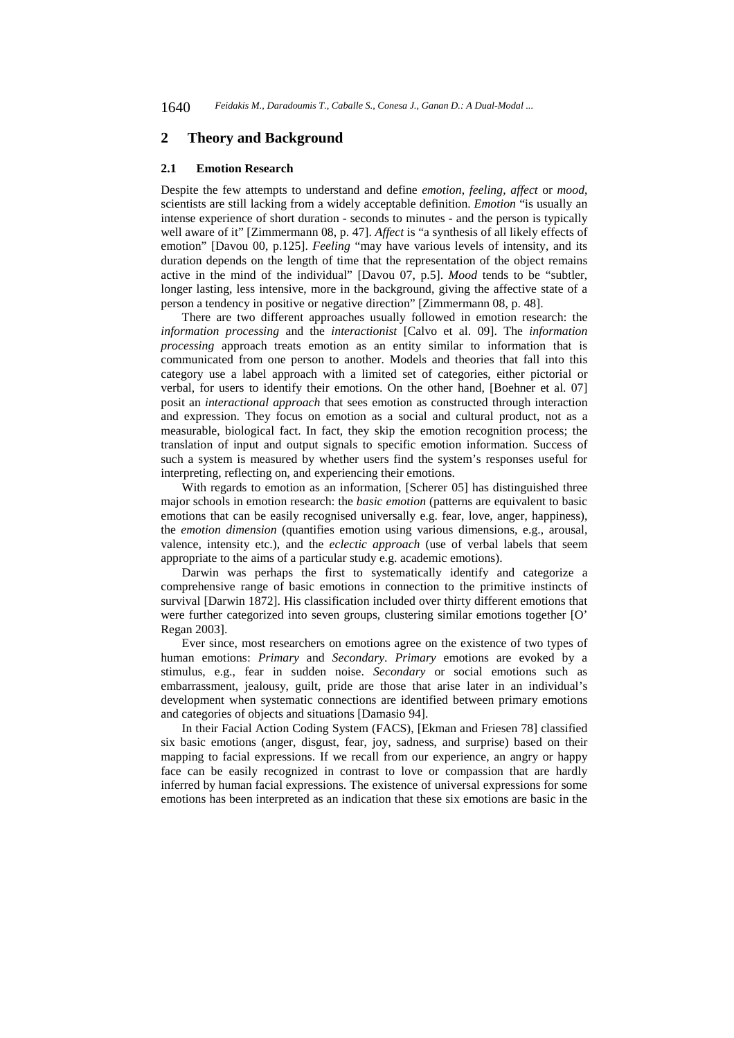## **2 Theory and Background**

#### **2.1 Emotion Research**

Despite the few attempts to understand and define *emotion*, *feeling, affect* or *mood*, scientists are still lacking from a widely acceptable definition. *Emotion* "is usually an intense experience of short duration - seconds to minutes - and the person is typically well aware of it" [Zimmermann 08, p. 47]. *Affect* is "a synthesis of all likely effects of emotion" [Davou 00, p.125]. *Feeling* "may have various levels of intensity, and its duration depends on the length of time that the representation of the object remains active in the mind of the individual" [Davou 07, p.5]. *Mood* tends to be "subtler, longer lasting, less intensive, more in the background, giving the affective state of a person a tendency in positive or negative direction" [Zimmermann 08, p. 48].

There are two different approaches usually followed in emotion research: the *information processing* and the *interactionist* [Calvo et al. 09]. The *information processing* approach treats emotion as an entity similar to information that is communicated from one person to another. Models and theories that fall into this category use a label approach with a limited set of categories, either pictorial or verbal, for users to identify their emotions. On the other hand, [Boehner et al. 07] posit an *interactional approach* that sees emotion as constructed through interaction and expression. They focus on emotion as a social and cultural product, not as a measurable, biological fact. In fact, they skip the emotion recognition process; the translation of input and output signals to specific emotion information. Success of such a system is measured by whether users find the system's responses useful for interpreting, reflecting on, and experiencing their emotions.

With regards to emotion as an information, [Scherer 05] has distinguished three major schools in emotion research: the *basic emotion* (patterns are equivalent to basic emotions that can be easily recognised universally e.g. fear, love, anger, happiness), the *emotion dimension* (quantifies emotion using various dimensions, e.g., arousal, valence, intensity etc.), and the *eclectic approach* (use of verbal labels that seem appropriate to the aims of a particular study e.g. academic emotions).

Darwin was perhaps the first to systematically identify and categorize a comprehensive range of basic emotions in connection to the primitive instincts of survival [Darwin 1872]. His classification included over thirty different emotions that were further categorized into seven groups, clustering similar emotions together [O' Regan 2003].

Ever since, most researchers on emotions agree on the existence of two types of human emotions: *Primary* and *Secondary*. *Primary* emotions are evoked by a stimulus, e.g., fear in sudden noise. *Secondary* or social emotions such as embarrassment, jealousy, guilt, pride are those that arise later in an individual's development when systematic connections are identified between primary emotions and categories of objects and situations [Damasio 94].

In their Facial Action Coding System (FACS), [Ekman and Friesen 78] classified six basic emotions (anger, disgust, fear, joy, sadness, and surprise) based on their mapping to facial expressions. If we recall from our experience, an angry or happy face can be easily recognized in contrast to love or compassion that are hardly inferred by human facial expressions. The existence of universal expressions for some emotions has been interpreted as an indication that these six emotions are basic in the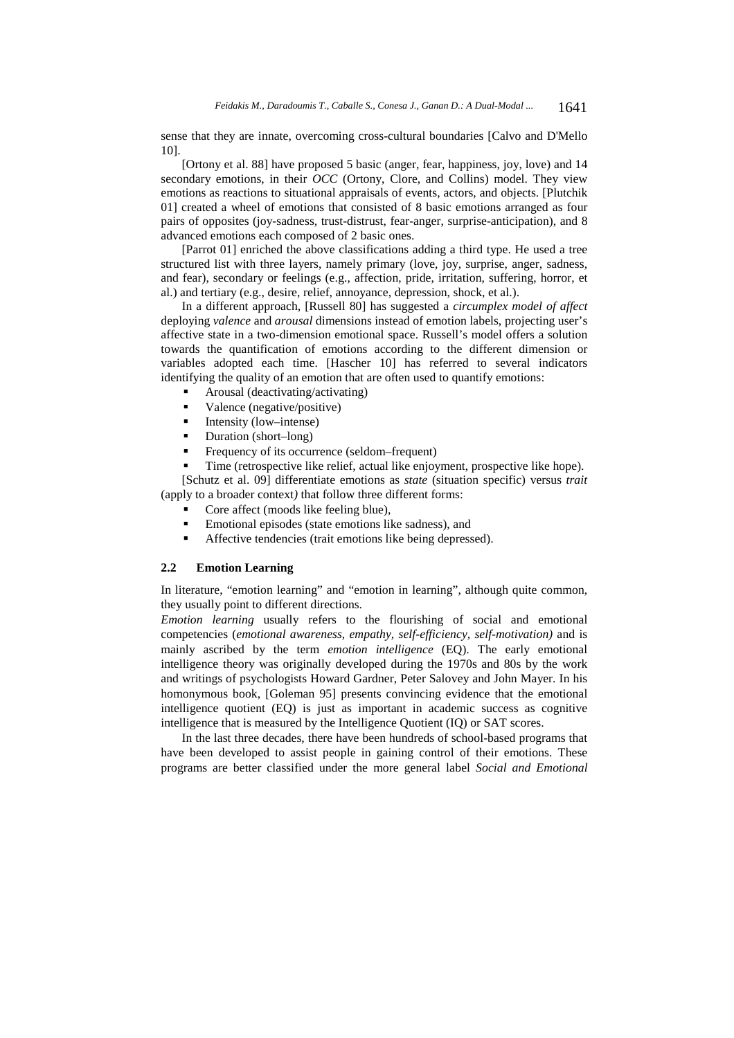sense that they are innate, overcoming cross-cultural boundaries [Calvo and D'Mello 10].

[Ortony et al. 88] have proposed 5 basic (anger, fear, happiness, joy, love) and 14 secondary emotions, in their *OCC* (Ortony, Clore, and Collins) model. They view emotions as reactions to situational appraisals of events, actors, and objects. [Plutchik 01] created a wheel of emotions that consisted of 8 basic emotions arranged as four pairs of opposites (joy-sadness, trust-distrust, fear-anger, surprise-anticipation), and 8 advanced emotions each composed of 2 basic ones.

[Parrot 01] enriched the above classifications adding a third type. He used a tree structured list with three layers, namely primary (love, joy, surprise, anger, sadness, and fear), secondary or feelings (e.g., affection, pride, irritation, suffering, horror, et al.) and tertiary (e.g., desire, relief, annoyance, depression, shock, et al.).

In a different approach, [Russell 80] has suggested a *circumplex model of affect* deploying *valence* and *arousal* dimensions instead of emotion labels, projecting user's affective state in a two-dimension emotional space. Russell's model offers a solution towards the quantification of emotions according to the different dimension or variables adopted each time. [Hascher 10] has referred to several indicators identifying the quality of an emotion that are often used to quantify emotions:

- Arousal (deactivating/activating)
- Valence (negative/positive)
- Intensity (low–intense)
- Duration (short–long)
- Frequency of its occurrence (seldom–frequent)
- Time (retrospective like relief, actual like enjoyment, prospective like hope).

[Schutz et al. 09] differentiate emotions as *state* (situation specific) versus *trait* (apply to a broader context*)* that follow three different forms:

- Core affect (moods like feeling blue),
- Emotional episodes (state emotions like sadness), and
- Affective tendencies (trait emotions like being depressed).

#### **2.2 Emotion Learning**

In literature, "emotion learning" and "emotion in learning", although quite common, they usually point to different directions.

*Emotion learning* usually refers to the flourishing of social and emotional competencies (*emotional awareness, empathy, self-efficiency, self-motivation)* and is mainly ascribed by the term *emotion intelligence* (EQ). The early emotional intelligence theory was originally developed during the 1970s and 80s by the work and writings of psychologists Howard Gardner, Peter Salovey and John Mayer. In his homonymous book, [Goleman 95] presents convincing evidence that the emotional intelligence quotient (EQ) is just as important in academic success as cognitive intelligence that is measured by the Intelligence Quotient (IQ) or SAT scores.

In the last three decades, there have been hundreds of school-based programs that have been developed to assist people in gaining control of their emotions. These programs are better classified under the more general label *Social and Emotional*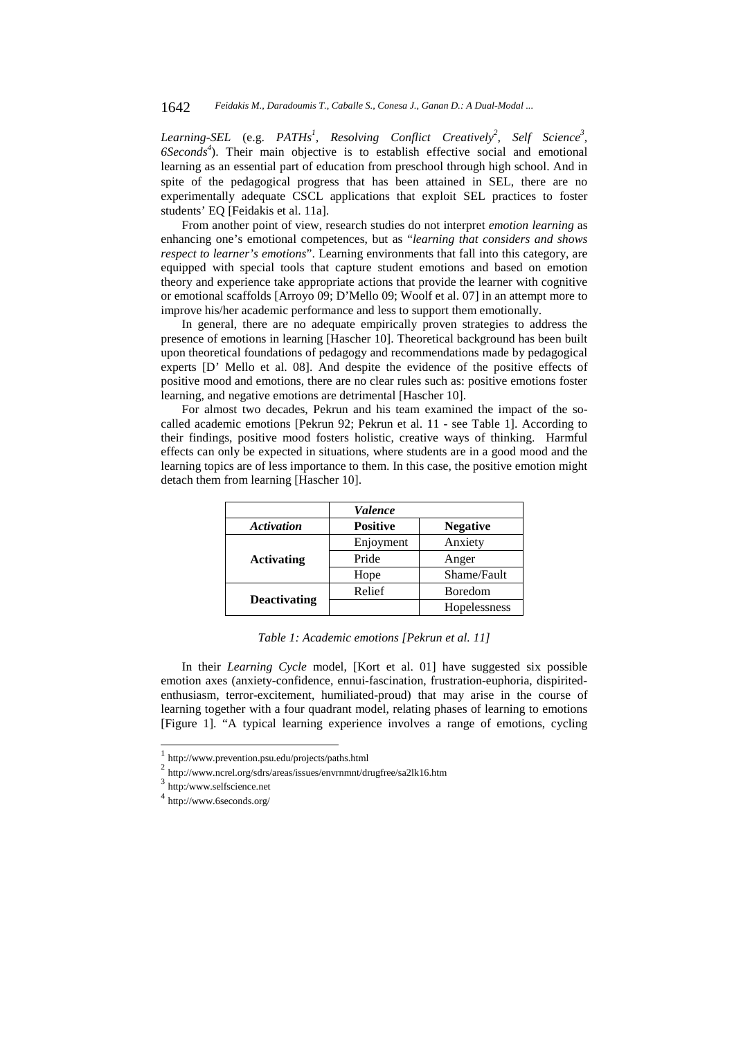#### 1642 *Feidakis M., Daradoumis T., Caballe S., Conesa J., Ganan D.: A Dual-Modal ...*

Learning-SEL (e.g. PATHs<sup>1</sup>, Resolving Conflict Creatively<sup>2</sup>, Self Science<sup>3</sup>, *6Seconds4* ). Their main objective is to establish effective social and emotional learning as an essential part of education from preschool through high school. And in spite of the pedagogical progress that has been attained in SEL, there are no experimentally adequate CSCL applications that exploit SEL practices to foster students' EQ [Feidakis et al. 11a].

From another point of view, research studies do not interpret *emotion learning* as enhancing one's emotional competences, but as "*learning that considers and shows respect to learner's emotions*". Learning environments that fall into this category, are equipped with special tools that capture student emotions and based on emotion theory and experience take appropriate actions that provide the learner with cognitive or emotional scaffolds [Arroyo 09; D'Mello 09; Woolf et al. 07] in an attempt more to improve his/her academic performance and less to support them emotionally.

In general, there are no adequate empirically proven strategies to address the presence of emotions in learning [Hascher 10]. Theoretical background has been built upon theoretical foundations of pedagogy and recommendations made by pedagogical experts [D' Mello et al. 08]. And despite the evidence of the positive effects of positive mood and emotions, there are no clear rules such as: positive emotions foster learning, and negative emotions are detrimental [Hascher 10].

For almost two decades, Pekrun and his team examined the impact of the socalled academic emotions [Pekrun 92; Pekrun et al. 11 - see Table 1]. According to their findings, positive mood fosters holistic, creative ways of thinking. Harmful effects can only be expected in situations, where students are in a good mood and the learning topics are of less importance to them. In this case, the positive emotion might detach them from learning [Hascher 10].

|                     | <i>Valence</i>  |                 |  |  |  |  |
|---------------------|-----------------|-----------------|--|--|--|--|
| <b>Activation</b>   | <b>Positive</b> | <b>Negative</b> |  |  |  |  |
|                     | Enjoyment       | Anxiety         |  |  |  |  |
| <b>Activating</b>   | Pride           | Anger           |  |  |  |  |
|                     | Hope            | Shame/Fault     |  |  |  |  |
|                     | Relief          | Boredom         |  |  |  |  |
| <b>Deactivating</b> |                 | Hopelessness    |  |  |  |  |

*Table 1: Academic emotions [Pekrun et al. 11]* 

In their *Learning Cycle* model, [Kort et al. 01] have suggested six possible emotion axes (anxiety-confidence, ennui-fascination, frustration-euphoria, dispiritedenthusiasm, terror-excitement, humiliated-proud) that may arise in the course of learning together with a four quadrant model, relating phases of learning to emotions [Figure 1]. "A typical learning experience involves a range of emotions, cycling

l

<sup>1</sup> http://www.prevention.psu.edu/projects/paths.html

<sup>2</sup> http://www.ncrel.org/sdrs/areas/issues/envrnmnt/drugfree/sa2lk16.htm

<sup>3</sup> http:/www.selfscience.net

<sup>4</sup> http://www.6seconds.org/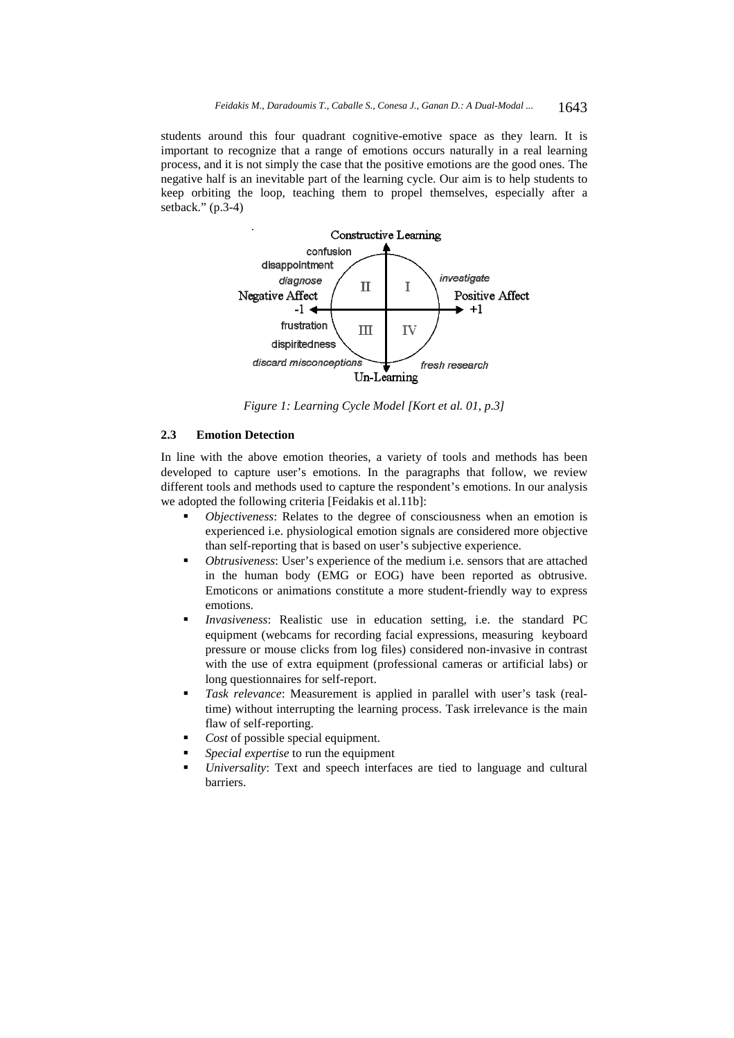students around this four quadrant cognitive-emotive space as they learn. It is important to recognize that a range of emotions occurs naturally in a real learning process, and it is not simply the case that the positive emotions are the good ones. The negative half is an inevitable part of the learning cycle. Our aim is to help students to keep orbiting the loop, teaching them to propel themselves, especially after a setback." (p.3-4)



*Figure 1: Learning Cycle Model [Kort et al. 01, p.3]* 

#### **2.3 Emotion Detection**

In line with the above emotion theories, a variety of tools and methods has been developed to capture user's emotions. In the paragraphs that follow, we review different tools and methods used to capture the respondent's emotions. In our analysis we adopted the following criteria [Feidakis et al.11b]:

- *Objectiveness*: Relates to the degree of consciousness when an emotion is experienced i.e. physiological emotion signals are considered more objective than self-reporting that is based on user's subjective experience.
- *Obtrusiveness*: User's experience of the medium i.e. sensors that are attached in the human body (EMG or EOG) have been reported as obtrusive. Emoticons or animations constitute a more student-friendly way to express emotions.
- *Invasiveness*: Realistic use in education setting, i.e. the standard PC equipment (webcams for recording facial expressions, measuring keyboard pressure or mouse clicks from log files) considered non-invasive in contrast with the use of extra equipment (professional cameras or artificial labs) or long questionnaires for self-report.
- *Task relevance*: Measurement is applied in parallel with user's task (realtime) without interrupting the learning process. Task irrelevance is the main flaw of self-reporting.
- *Cost* of possible special equipment.
- *Special expertise* to run the equipment
- *Universality*: Text and speech interfaces are tied to language and cultural barriers.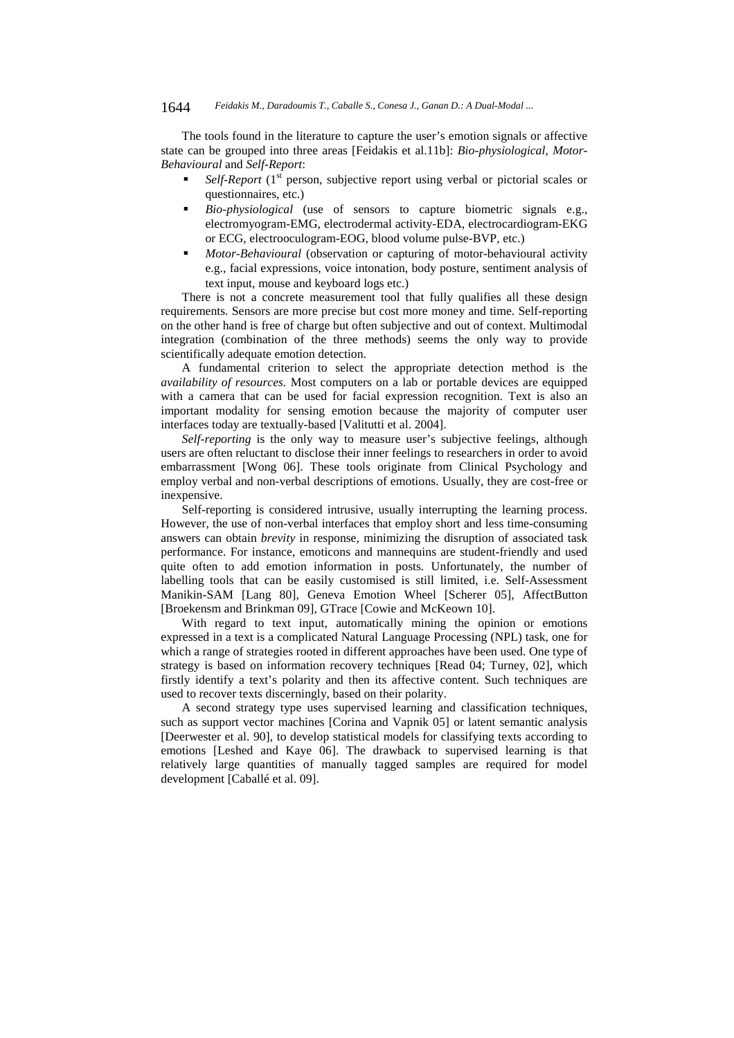The tools found in the literature to capture the user's emotion signals or affective state can be grouped into three areas [Feidakis et al.11b]: *Bio-physiological, Motor-Behavioural* and *Self-Report*:

- *Self-Report* (1<sup>st</sup> person, subjective report using verbal or pictorial scales or questionnaires, etc.)
- *Bio-physiological* (use of sensors to capture biometric signals e.g., electromyogram-EMG, electrodermal activity-EDA, electrocardiogram-EKG or ECG, electrooculogram-EOG, blood volume pulse-BVP, etc.)
- *Motor-Behavioural* (observation or capturing of motor-behavioural activity e.g., facial expressions, voice intonation, body posture, sentiment analysis of text input, mouse and keyboard logs etc.)

There is not a concrete measurement tool that fully qualifies all these design requirements. Sensors are more precise but cost more money and time. Self-reporting on the other hand is free of charge but often subjective and out of context. Multimodal integration (combination of the three methods) seems the only way to provide scientifically adequate emotion detection.

A fundamental criterion to select the appropriate detection method is the *availability of resources.* Most computers on a lab or portable devices are equipped with a camera that can be used for facial expression recognition. Text is also an important modality for sensing emotion because the majority of computer user interfaces today are textually-based [Valitutti et al. 2004].

*Self-reporting* is the only way to measure user's subjective feelings, although users are often reluctant to disclose their inner feelings to researchers in order to avoid embarrassment [Wong 06]. These tools originate from Clinical Psychology and employ verbal and non-verbal descriptions of emotions. Usually, they are cost-free or inexpensive.

Self-reporting is considered intrusive, usually interrupting the learning process. However, the use of non-verbal interfaces that employ short and less time-consuming answers can obtain *brevity* in response, minimizing the disruption of associated task performance. For instance, emoticons and mannequins are student-friendly and used quite often to add emotion information in posts. Unfortunately, the number of labelling tools that can be easily customised is still limited, i.e. Self-Assessment Manikin-SAM [Lang 80], Geneva Emotion Wheel [Scherer 05], AffectButton [Broekensm and Brinkman 09], GTrace [Cowie and McKeown 10].

With regard to text input, automatically mining the opinion or emotions expressed in a text is a complicated Natural Language Processing (NPL) task, one for which a range of strategies rooted in different approaches have been used. One type of strategy is based on information recovery techniques [Read 04; Turney, 02], which firstly identify a text's polarity and then its affective content. Such techniques are used to recover texts discerningly, based on their polarity.

A second strategy type uses supervised learning and classification techniques, such as support vector machines [Corina and Vapnik 05] or latent semantic analysis [Deerwester et al. 90], to develop statistical models for classifying texts according to emotions [Leshed and Kaye 06]. The drawback to supervised learning is that relatively large quantities of manually tagged samples are required for model development [Caballé et al. 09].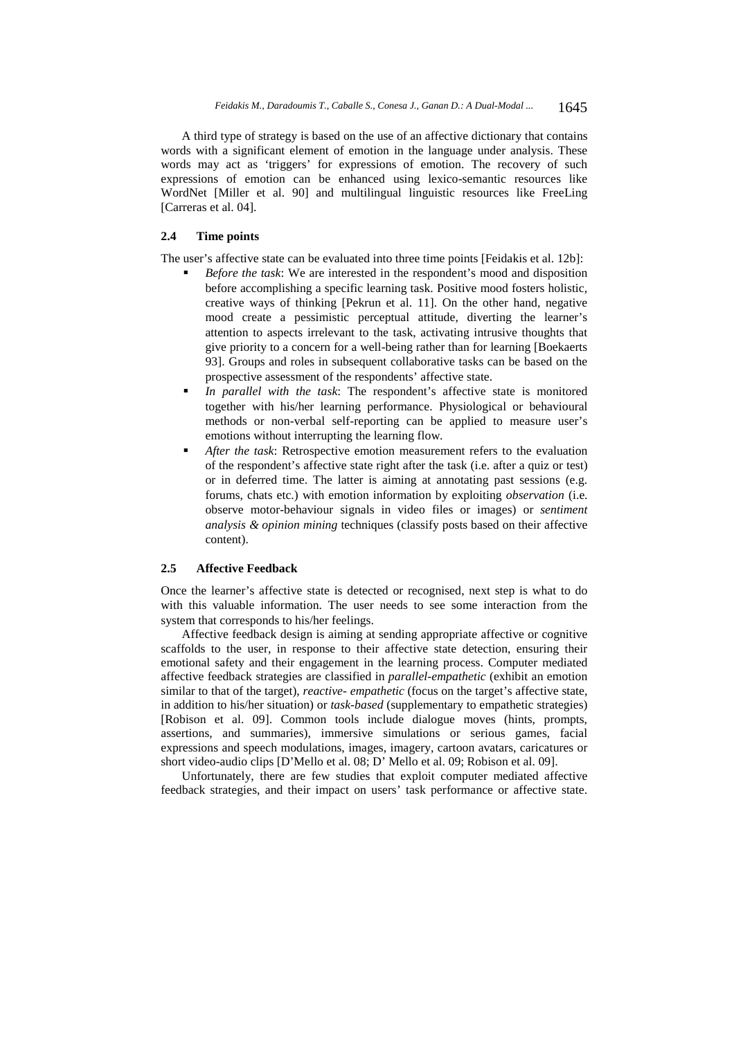A third type of strategy is based on the use of an affective dictionary that contains words with a significant element of emotion in the language under analysis. These words may act as 'triggers' for expressions of emotion. The recovery of such expressions of emotion can be enhanced using lexico-semantic resources like WordNet [Miller et al. 90] and multilingual linguistic resources like FreeLing [Carreras et al. 04].

## **2.4 Time points**

The user's affective state can be evaluated into three time points [Feidakis et al. 12b]:

- *Before the task*: We are interested in the respondent's mood and disposition before accomplishing a specific learning task. Positive mood fosters holistic, creative ways of thinking [Pekrun et al. 11]. On the other hand, negative mood create a pessimistic perceptual attitude, diverting the learner's attention to aspects irrelevant to the task, activating intrusive thoughts that give priority to a concern for a well-being rather than for learning [Boekaerts 93]. Groups and roles in subsequent collaborative tasks can be based on the prospective assessment of the respondents' affective state.
- *In parallel with the task*: The respondent's affective state is monitored together with his/her learning performance. Physiological or behavioural methods or non-verbal self-reporting can be applied to measure user's emotions without interrupting the learning flow.
- *After the task*: Retrospective emotion measurement refers to the evaluation of the respondent's affective state right after the task (i.e. after a quiz or test) or in deferred time. The latter is aiming at annotating past sessions (e.g. forums, chats etc.) with emotion information by exploiting *observation* (i.e. observe motor-behaviour signals in video files or images) or *sentiment analysis & opinion mining* techniques (classify posts based on their affective content).

## **2.5 Affective Feedback**

Once the learner's affective state is detected or recognised, next step is what to do with this valuable information. The user needs to see some interaction from the system that corresponds to his/her feelings.

Affective feedback design is aiming at sending appropriate affective or cognitive scaffolds to the user, in response to their affective state detection, ensuring their emotional safety and their engagement in the learning process. Computer mediated affective feedback strategies are classified in *parallel-empathetic* (exhibit an emotion similar to that of the target), *reactive- empathetic* (focus on the target's affective state, in addition to his/her situation) or *task-based* (supplementary to empathetic strategies) [Robison et al. 09]. Common tools include dialogue moves (hints, prompts, assertions, and summaries), immersive simulations or serious games, facial expressions and speech modulations, images, imagery, cartoon avatars, caricatures or short video-audio clips [D'Mello et al. 08; D' Mello et al. 09; Robison et al. 09].

Unfortunately, there are few studies that exploit computer mediated affective feedback strategies, and their impact on users' task performance or affective state.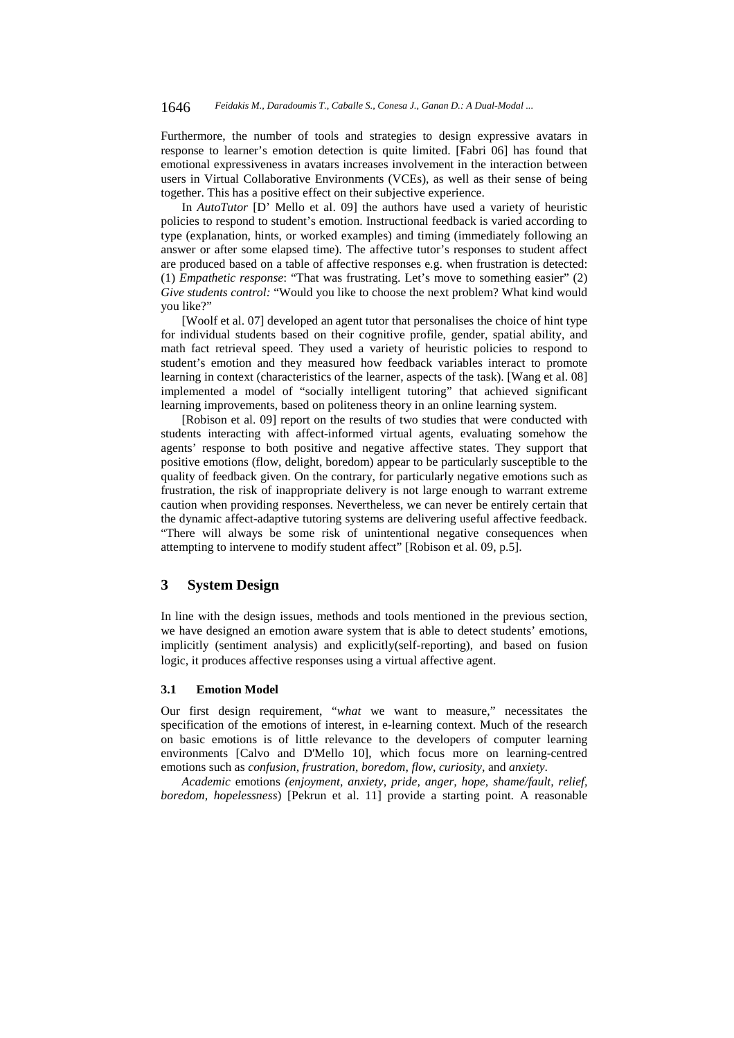Furthermore, the number of tools and strategies to design expressive avatars in response to learner's emotion detection is quite limited. [Fabri 06] has found that emotional expressiveness in avatars increases involvement in the interaction between users in Virtual Collaborative Environments (VCEs), as well as their sense of being together. This has a positive effect on their subjective experience.

In *AutoTutor* [D' Mello et al. 09] the authors have used a variety of heuristic policies to respond to student's emotion. Instructional feedback is varied according to type (explanation, hints, or worked examples) and timing (immediately following an answer or after some elapsed time). The affective tutor's responses to student affect are produced based on a table of affective responses e.g. when frustration is detected: (1) *Empathetic response*: "That was frustrating. Let's move to something easier" (2) *Give students control:* "Would you like to choose the next problem? What kind would you like?"

[Woolf et al. 07] developed an agent tutor that personalises the choice of hint type for individual students based on their cognitive profile, gender, spatial ability, and math fact retrieval speed. They used a variety of heuristic policies to respond to student's emotion and they measured how feedback variables interact to promote learning in context (characteristics of the learner, aspects of the task). [Wang et al. 08] implemented a model of "socially intelligent tutoring" that achieved significant learning improvements, based on politeness theory in an online learning system.

[Robison et al. 09] report on the results of two studies that were conducted with students interacting with affect-informed virtual agents, evaluating somehow the agents' response to both positive and negative affective states. They support that positive emotions (flow, delight, boredom) appear to be particularly susceptible to the quality of feedback given. On the contrary, for particularly negative emotions such as frustration, the risk of inappropriate delivery is not large enough to warrant extreme caution when providing responses. Nevertheless, we can never be entirely certain that the dynamic affect-adaptive tutoring systems are delivering useful affective feedback. "There will always be some risk of unintentional negative consequences when attempting to intervene to modify student affect" [Robison et al. 09, p.5].

## **3 System Design**

In line with the design issues, methods and tools mentioned in the previous section, we have designed an emotion aware system that is able to detect students' emotions, implicitly (sentiment analysis) and explicitly(self-reporting), and based on fusion logic, it produces affective responses using a virtual affective agent.

#### **3.1 Emotion Model**

Our first design requirement, "*what* we want to measure," necessitates the specification of the emotions of interest, in e-learning context. Much of the research on basic emotions is of little relevance to the developers of computer learning environments [Calvo and D'Mello 10], which focus more on learning-centred emotions such as *confusion*, *frustration*, *boredom*, *flow*, *curiosity*, and *anxiety*.

*Academic* emotions *(enjoyment, anxiety, pride, anger, hope, shame/fault, relief, boredom, hopelessness*) [Pekrun et al. 11] provide a starting point. A reasonable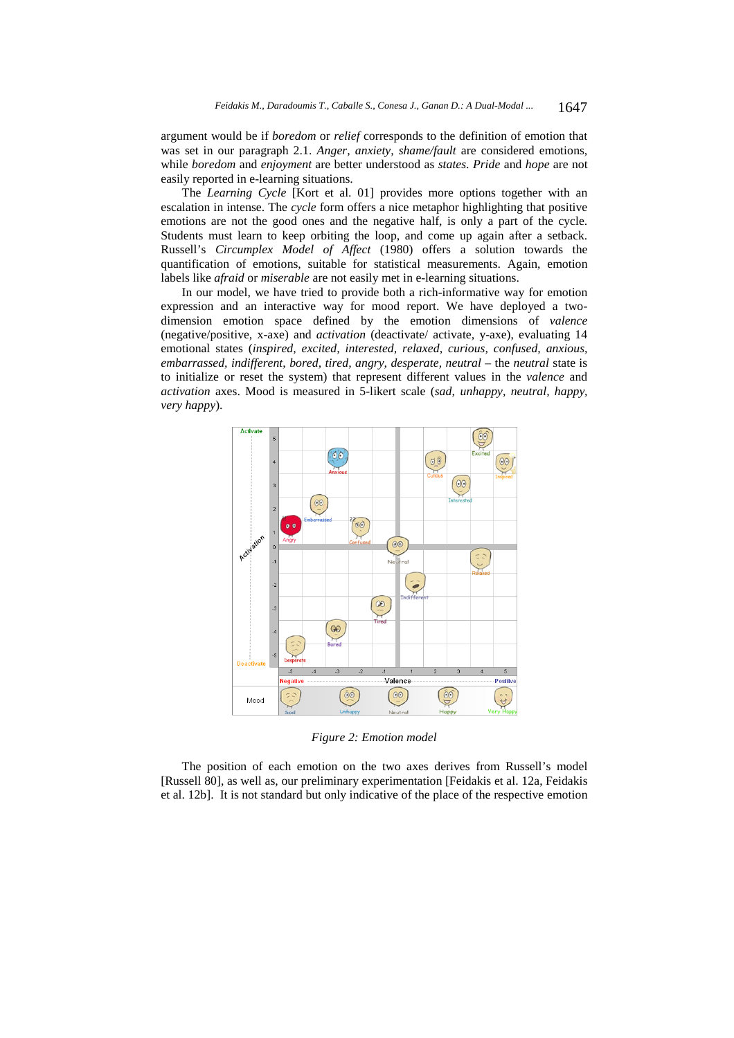argument would be if *boredom* or *relief* corresponds to the definition of emotion that was set in our paragraph 2.1. *Anger, anxiety, shame/fault* are considered emotions, while *boredom* and *enjoyment* are better understood as *states*. *Pride* and *hope* are not easily reported in e-learning situations.

The *Learning Cycle* [Kort et al. 01] provides more options together with an escalation in intense. The *cycle* form offers a nice metaphor highlighting that positive emotions are not the good ones and the negative half, is only a part of the cycle. Students must learn to keep orbiting the loop, and come up again after a setback. Russell's *Circumplex Model of Affect* (1980) offers a solution towards the quantification of emotions, suitable for statistical measurements. Again, emotion labels like *afraid* or *miserable* are not easily met in e-learning situations.

In our model, we have tried to provide both a rich-informative way for emotion expression and an interactive way for mood report. We have deployed a twodimension emotion space defined by the emotion dimensions of *valence* (negative/positive, x-axe) and *activation* (deactivate/ activate, y-axe), evaluating 14 emotional states (*inspired, excited, interested, relaxed, curious, confused, anxious, embarrassed, indifferent, bored, tired, angry, desperate, neutral* – the *neutral* state is to initialize or reset the system) that represent different values in the *valence* and *activation* axes. Mood is measured in 5-likert scale (*sad, unhappy, neutral, happy, very happy*).



*Figure 2: Emotion model* 

The position of each emotion on the two axes derives from Russell's model [Russell 80], as well as, our preliminary experimentation [Feidakis et al. 12a, Feidakis et al. 12b]. It is not standard but only indicative of the place of the respective emotion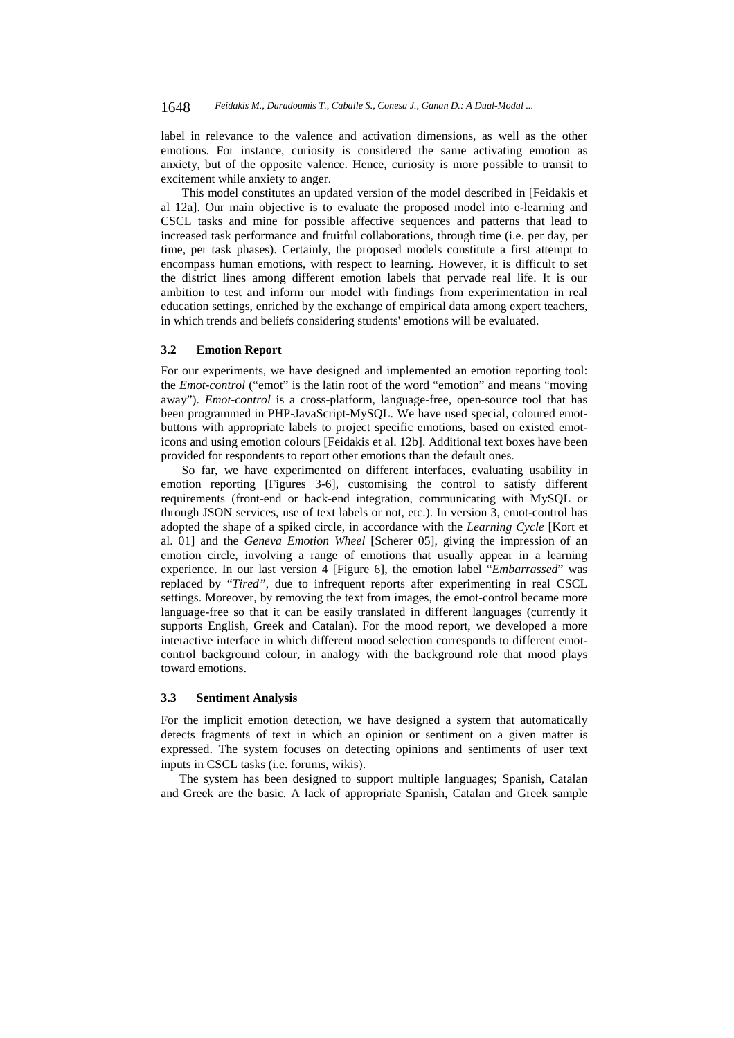label in relevance to the valence and activation dimensions, as well as the other emotions. For instance, curiosity is considered the same activating emotion as anxiety, but of the opposite valence. Hence, curiosity is more possible to transit to excitement while anxiety to anger.

This model constitutes an updated version of the model described in [Feidakis et al 12a]. Our main objective is to evaluate the proposed model into e-learning and CSCL tasks and mine for possible affective sequences and patterns that lead to increased task performance and fruitful collaborations, through time (i.e. per day, per time, per task phases). Certainly, the proposed models constitute a first attempt to encompass human emotions, with respect to learning. However, it is difficult to set the district lines among different emotion labels that pervade real life. It is our ambition to test and inform our model with findings from experimentation in real education settings, enriched by the exchange of empirical data among expert teachers, in which trends and beliefs considering students' emotions will be evaluated.

#### **3.2 Emotion Report**

For our experiments, we have designed and implemented an emotion reporting tool: the *Emot-control* ("emot" is the latin root of the word "emotion" and means "moving away"). *Emot-control* is a cross-platform, language-free, open-source tool that has been programmed in PHP-JavaScript-MySQL. We have used special, coloured emotbuttons with appropriate labels to project specific emotions, based on existed emoticons and using emotion colours [Feidakis et al. 12b]. Additional text boxes have been provided for respondents to report other emotions than the default ones.

So far, we have experimented on different interfaces, evaluating usability in emotion reporting [Figures 3-6], customising the control to satisfy different requirements (front-end or back-end integration, communicating with MySQL or through JSON services, use of text labels or not, etc.). In version 3, emot-control has adopted the shape of a spiked circle, in accordance with the *Learning Cycle* [Kort et al. 01] and the *Geneva Emotion Wheel* [Scherer 05], giving the impression of an emotion circle, involving a range of emotions that usually appear in a learning experience. In our last version 4 [Figure 6], the emotion label "*Embarrassed*" was replaced by "*Tired"*, due to infrequent reports after experimenting in real CSCL settings. Moreover, by removing the text from images, the emot-control became more language-free so that it can be easily translated in different languages (currently it supports English, Greek and Catalan). For the mood report, we developed a more interactive interface in which different mood selection corresponds to different emotcontrol background colour, in analogy with the background role that mood plays toward emotions.

### **3.3 Sentiment Analysis**

For the implicit emotion detection, we have designed a system that automatically detects fragments of text in which an opinion or sentiment on a given matter is expressed. The system focuses on detecting opinions and sentiments of user text inputs in CSCL tasks (i.e. forums, wikis).

The system has been designed to support multiple languages; Spanish, Catalan and Greek are the basic. A lack of appropriate Spanish, Catalan and Greek sample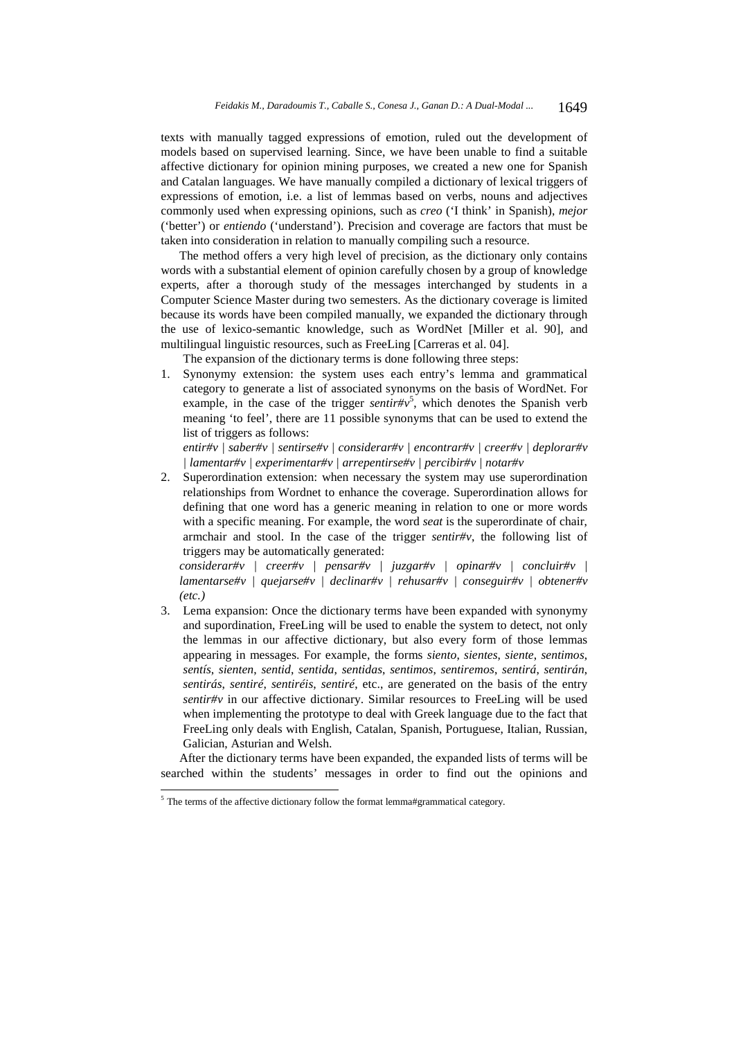texts with manually tagged expressions of emotion, ruled out the development of models based on supervised learning. Since, we have been unable to find a suitable affective dictionary for opinion mining purposes, we created a new one for Spanish and Catalan languages. We have manually compiled a dictionary of lexical triggers of expressions of emotion, i.e. a list of lemmas based on verbs, nouns and adjectives commonly used when expressing opinions, such as *creo* ('I think' in Spanish), *mejor*  ('better') or *entiendo* ('understand'). Precision and coverage are factors that must be taken into consideration in relation to manually compiling such a resource.

The method offers a very high level of precision, as the dictionary only contains words with a substantial element of opinion carefully chosen by a group of knowledge experts, after a thorough study of the messages interchanged by students in a Computer Science Master during two semesters. As the dictionary coverage is limited because its words have been compiled manually, we expanded the dictionary through the use of lexico-semantic knowledge, such as WordNet [Miller et al. 90], and multilingual linguistic resources, such as FreeLing [Carreras et al. 04].

The expansion of the dictionary terms is done following three steps:

1. Synonymy extension: the system uses each entry's lemma and grammatical category to generate a list of associated synonyms on the basis of WordNet. For example, in the case of the trigger *sentir#v*<sup>5</sup>, which denotes the Spanish verb meaning 'to feel', there are 11 possible synonyms that can be used to extend the list of triggers as follows:

*entir#v | saber#v | sentirse#v | considerar#v | encontrar#v | creer#v | deplorar#v | lamentar#v | experimentar#v | arrepentirse#v | percibir#v | notar#v*

2. Superordination extension: when necessary the system may use superordination relationships from Wordnet to enhance the coverage. Superordination allows for defining that one word has a generic meaning in relation to one or more words with a specific meaning. For example, the word *seat* is the superordinate of chair, armchair and stool. In the case of the trigger *sentir#v*, the following list of triggers may be automatically generated:

*considerar#v | creer#v | pensar#v | juzgar#v | opinar#v | concluir#v | lamentarse#v | quejarse#v | declinar#v | rehusar#v | conseguir#v | obtener#v (etc.)* 

3. Lema expansion: Once the dictionary terms have been expanded with synonymy and supordination, FreeLing will be used to enable the system to detect, not only the lemmas in our affective dictionary, but also every form of those lemmas appearing in messages. For example, the forms *siento*, *sientes*, *siente*, *sentimos*, *sentís*, *sienten*, *sentid*, *sentida*, *sentidas*, *sentimos*, *sentiremos*, *sentirá*, *sentirán*, *sentirás*, *sentiré*, *sentiréis*, *sentiré*, etc., are generated on the basis of the entry *sentir#v* in our affective dictionary. Similar resources to FreeLing will be used when implementing the prototype to deal with Greek language due to the fact that FreeLing only deals with English, Catalan, Spanish, Portuguese, Italian, Russian, Galician, Asturian and Welsh.

After the dictionary terms have been expanded, the expanded lists of terms will be searched within the students' messages in order to find out the opinions and

l

 $<sup>5</sup>$  The terms of the affective dictionary follow the format lemma#grammatical category.</sup>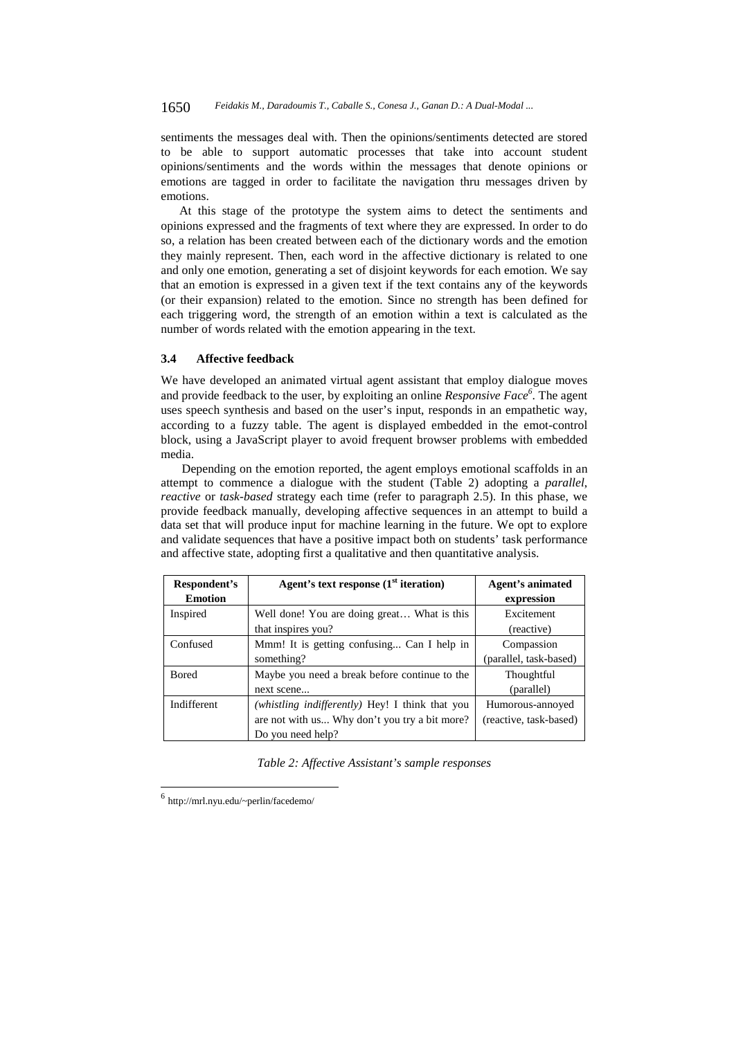#### 1650 *Feidakis M., Daradoumis T., Caballe S., Conesa J., Ganan D.: A Dual-Modal ...*

sentiments the messages deal with. Then the opinions/sentiments detected are stored to be able to support automatic processes that take into account student opinions/sentiments and the words within the messages that denote opinions or emotions are tagged in order to facilitate the navigation thru messages driven by emotions.

At this stage of the prototype the system aims to detect the sentiments and opinions expressed and the fragments of text where they are expressed. In order to do so, a relation has been created between each of the dictionary words and the emotion they mainly represent. Then, each word in the affective dictionary is related to one and only one emotion, generating a set of disjoint keywords for each emotion. We say that an emotion is expressed in a given text if the text contains any of the keywords (or their expansion) related to the emotion. Since no strength has been defined for each triggering word, the strength of an emotion within a text is calculated as the number of words related with the emotion appearing in the text.

#### **3.4 Affective feedback**

We have developed an animated virtual agent assistant that employ dialogue moves and provide feedback to the user, by exploiting an online *Responsive Face*<sup>6</sup>. The agent uses speech synthesis and based on the user's input, responds in an empathetic way, according to a fuzzy table. The agent is displayed embedded in the emot-control block, using a JavaScript player to avoid frequent browser problems with embedded media.

Depending on the emotion reported, the agent employs emotional scaffolds in an attempt to commence a dialogue with the student (Table 2) adopting a *parallel*, *reactive* or *task-based* strategy each time (refer to paragraph 2.5). In this phase, we provide feedback manually, developing affective sequences in an attempt to build a data set that will produce input for machine learning in the future. We opt to explore and validate sequences that have a positive impact both on students' task performance and affective state, adopting first a qualitative and then quantitative analysis.

| Respondent's   | Agent's text response $(1st iteration)$         | Agent's animated       |  |  |
|----------------|-------------------------------------------------|------------------------|--|--|
| <b>Emotion</b> |                                                 | expression             |  |  |
| Inspired       | Well done! You are doing great What is this     | Excitement             |  |  |
|                | that inspires you?                              | (reactive)             |  |  |
| Confused       | Mmm! It is getting confusing Can I help in      | Compassion             |  |  |
|                | something?                                      | (parallel, task-based) |  |  |
| <b>Bored</b>   | Maybe you need a break before continue to the   | <b>Thoughtful</b>      |  |  |
|                | next scene                                      | (parallel)             |  |  |
| Indifferent    | (whistling indifferently) Hey! I think that you | Humorous-annoyed       |  |  |
|                | are not with us Why don't you try a bit more?   | (reactive, task-based) |  |  |
|                | Do you need help?                               |                        |  |  |

*Table 2: Affective Assistant's sample responses* 

l

<sup>6</sup> http://mrl.nyu.edu/~perlin/facedemo/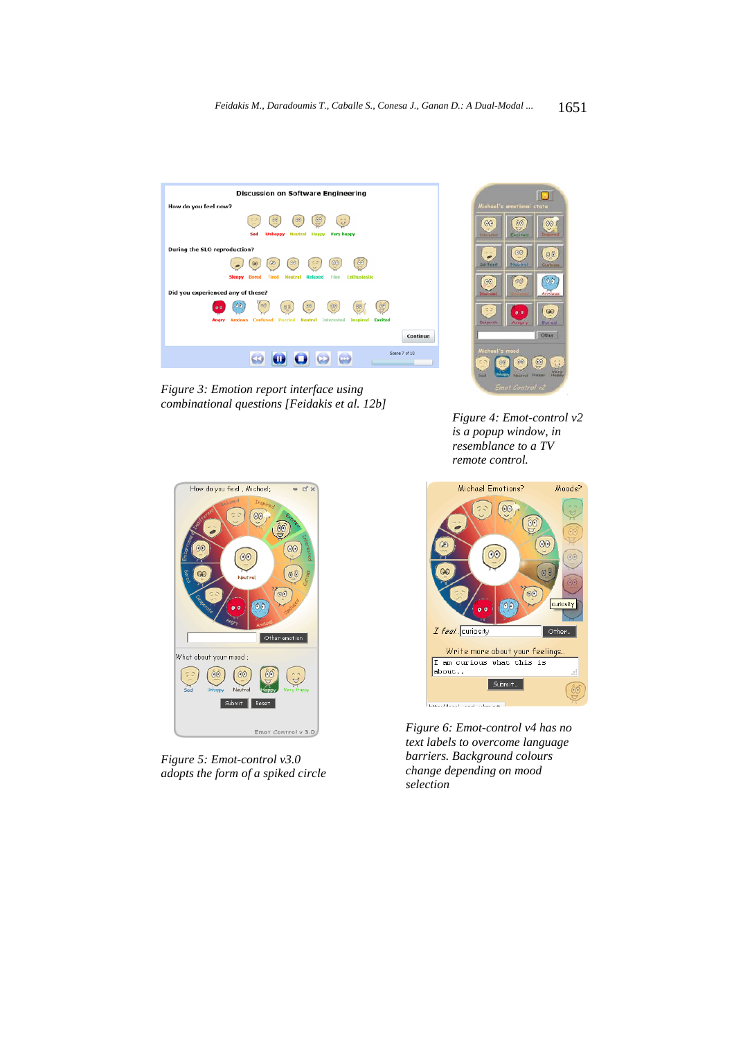

*Figure 3: Emotion report interface using combinational questions [Feidakis et al. 12b]* 



*Figure 4: Emot-control v2 is a popup window, in resemblance to a TV remote control.* 



*Figure 5: Emot-control v3.0 adopts the form of a spiked circle*



*Figure 6: Emot-control v4 has no text labels to overcome language barriers. Background colours change depending on mood selection*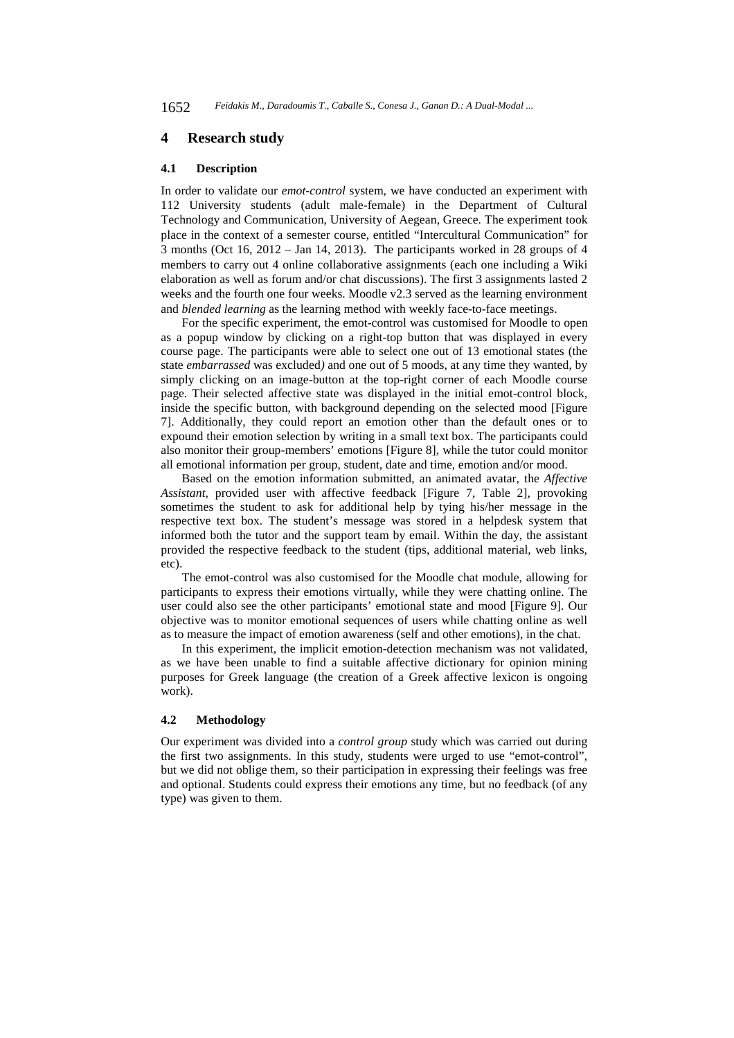### **4 Research study**

#### **4.1 Description**

In order to validate our *emot-control* system, we have conducted an experiment with 112 University students (adult male-female) in the Department of Cultural Technology and Communication, University of Aegean, Greece. The experiment took place in the context of a semester course, entitled "Intercultural Communication" for 3 months (Oct 16, 2012 – Jan 14, 2013). The participants worked in 28 groups of 4 members to carry out 4 online collaborative assignments (each one including a Wiki elaboration as well as forum and/or chat discussions). The first 3 assignments lasted 2 weeks and the fourth one four weeks. Moodle v2.3 served as the learning environment and *blended learning* as the learning method with weekly face-to-face meetings.

For the specific experiment, the emot-control was customised for Moodle to open as a popup window by clicking on a right-top button that was displayed in every course page. The participants were able to select one out of 13 emotional states (the state *embarrassed* was excluded*)* and one out of 5 moods, at any time they wanted, by simply clicking on an image-button at the top-right corner of each Moodle course page. Their selected affective state was displayed in the initial emot-control block, inside the specific button, with background depending on the selected mood [Figure 7]. Additionally, they could report an emotion other than the default ones or to expound their emotion selection by writing in a small text box. The participants could also monitor their group-members' emotions [Figure 8], while the tutor could monitor all emotional information per group, student, date and time, emotion and/or mood.

Based on the emotion information submitted, an animated avatar, the *Affective Assistant,* provided user with affective feedback [Figure 7, Table 2], provoking sometimes the student to ask for additional help by tying his/her message in the respective text box. The student's message was stored in a helpdesk system that informed both the tutor and the support team by email. Within the day, the assistant provided the respective feedback to the student (tips, additional material, web links, etc).

The emot-control was also customised for the Moodle chat module, allowing for participants to express their emotions virtually, while they were chatting online. The user could also see the other participants' emotional state and mood [Figure 9]. Our objective was to monitor emotional sequences of users while chatting online as well as to measure the impact of emotion awareness (self and other emotions), in the chat.

In this experiment, the implicit emotion-detection mechanism was not validated, as we have been unable to find a suitable affective dictionary for opinion mining purposes for Greek language (the creation of a Greek affective lexicon is ongoing work).

## **4.2 Methodology**

Our experiment was divided into a *control group* study which was carried out during the first two assignments. In this study, students were urged to use "emot-control", but we did not oblige them, so their participation in expressing their feelings was free and optional. Students could express their emotions any time, but no feedback (of any type) was given to them.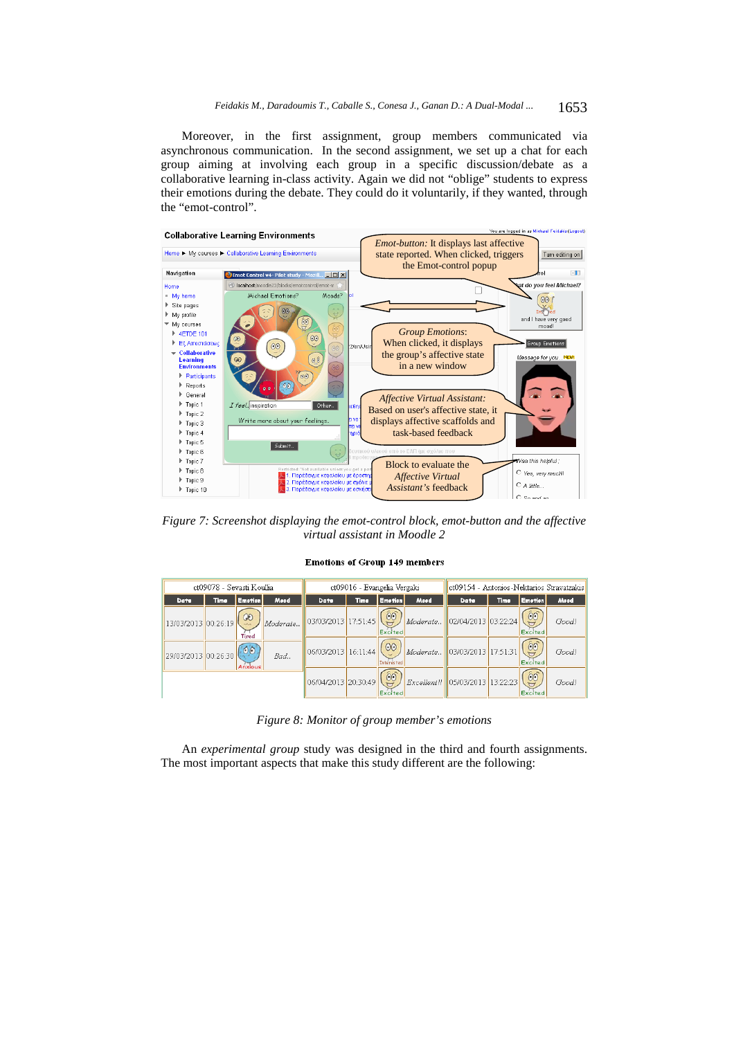Moreover, in the first assignment, group members communicated via asynchronous communication. In the second assignment, we set up a chat for each group aiming at involving each group in a specific discussion/debate as a collaborative learning in-class activity. Again we did not "oblige" students to express their emotions during the debate. They could do it voluntarily, if they wanted, through the "emot-control".



*Figure 7: Screenshot displaying the emot-control block, emot-button and the affective virtual assistant in Moodle 2* 

#### **Emotions of Group 149 members**

| ct09078 - Sevasti Koullia |      |                                 | ct09016 - Evangelia Vergaki |                                                 |       | ct09154 - Antonios-Nektarios Stravatzakis |      |                                 |             |                      |       |
|---------------------------|------|---------------------------------|-----------------------------|-------------------------------------------------|-------|-------------------------------------------|------|---------------------------------|-------------|----------------------|-------|
| Date                      | Time | <b>Emotion</b>                  | Mood                        | Date                                            | Time. | <b>Emotion</b>                            | Mood | Date                            | <b>Time</b> | <b>Emotion</b>       | Mood  |
| 13/03/2013 00:26:19       |      | $\omega$<br>Tired               | Moderate                    | $\frac{1}{2}$ 03/03/2013 17:51:45 $\frac{1}{2}$ |       | Excited                                   |      | Moderate 02/04/2013 03:22:24    |             | 60<br><b>Excited</b> | Good! |
| 29/03/2013 00:26:30       |      | $\circ \circ$<br><b>Anxious</b> | Bad.,                       | $\frac{1}{16.11:44}$                            |       | $\odot$<br><b>Interested</b>              |      | Moderate 03/03/2013 17:51:31    |             | 60<br>Excited        | Good! |
|                           |      |                                 |                             | 06/04/2013 20:30:49                             |       | $\hat{0}0$<br>Excited                     |      | Excellent!  05/03/2013 13:22:23 |             | 60<br>Excited        | Good! |

*Figure 8: Monitor of group member's emotions* 

An *experimental group* study was designed in the third and fourth assignments. The most important aspects that make this study different are the following: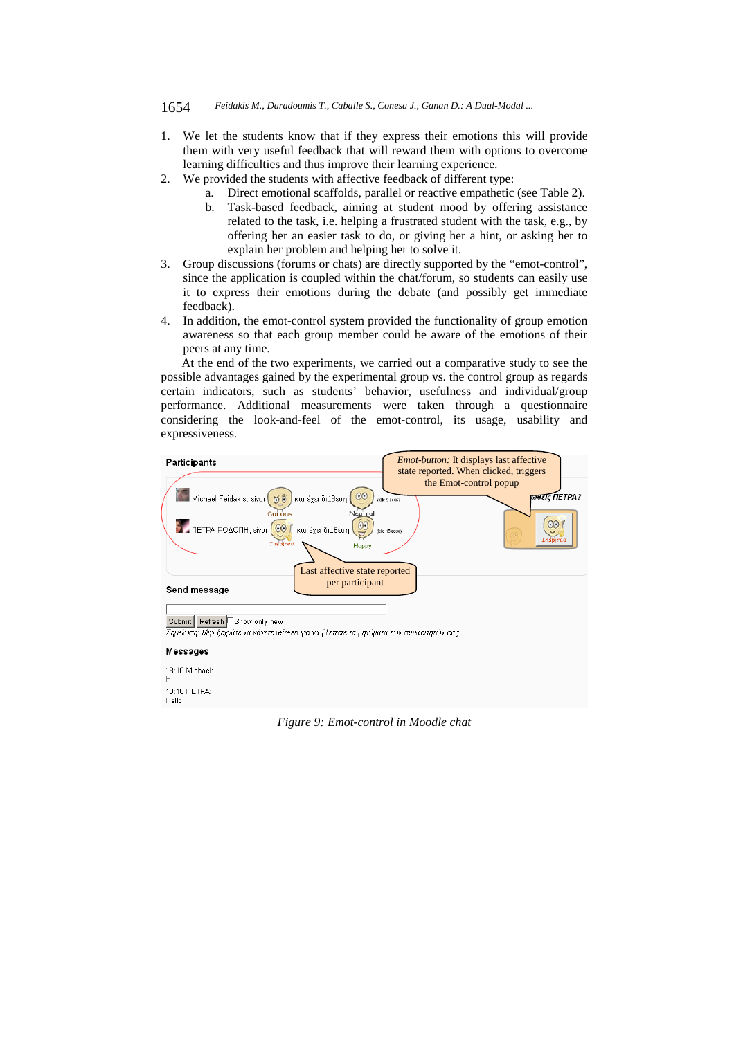#### 1654 *Feidakis M., Daradoumis T., Caballe S., Conesa J., Ganan D.: A Dual-Modal ...*

- 1. We let the students know that if they express their emotions this will provide them with very useful feedback that will reward them with options to overcome learning difficulties and thus improve their learning experience.
- 2. We provided the students with affective feedback of different type:
	- a. Direct emotional scaffolds, parallel or reactive empathetic (see Table 2).
	- b. Task-based feedback, aiming at student mood by offering assistance related to the task, i.e. helping a frustrated student with the task, e.g., by offering her an easier task to do, or giving her a hint, or asking her to explain her problem and helping her to solve it.
- 3. Group discussions (forums or chats) are directly supported by the "emot-control", since the application is coupled within the chat/forum, so students can easily use it to express their emotions during the debate (and possibly get immediate feedback).
- 4. In addition, the emot-control system provided the functionality of group emotion awareness so that each group member could be aware of the emotions of their peers at any time.

At the end of the two experiments, we carried out a comparative study to see the possible advantages gained by the experimental group vs. the control group as regards certain indicators, such as students' behavior, usefulness and individual/group performance. Additional measurements were taken through a questionnaire considering the look-and-feel of the emot-control, its usage, usability and expressiveness.



*Figure 9: Emot-control in Moodle chat*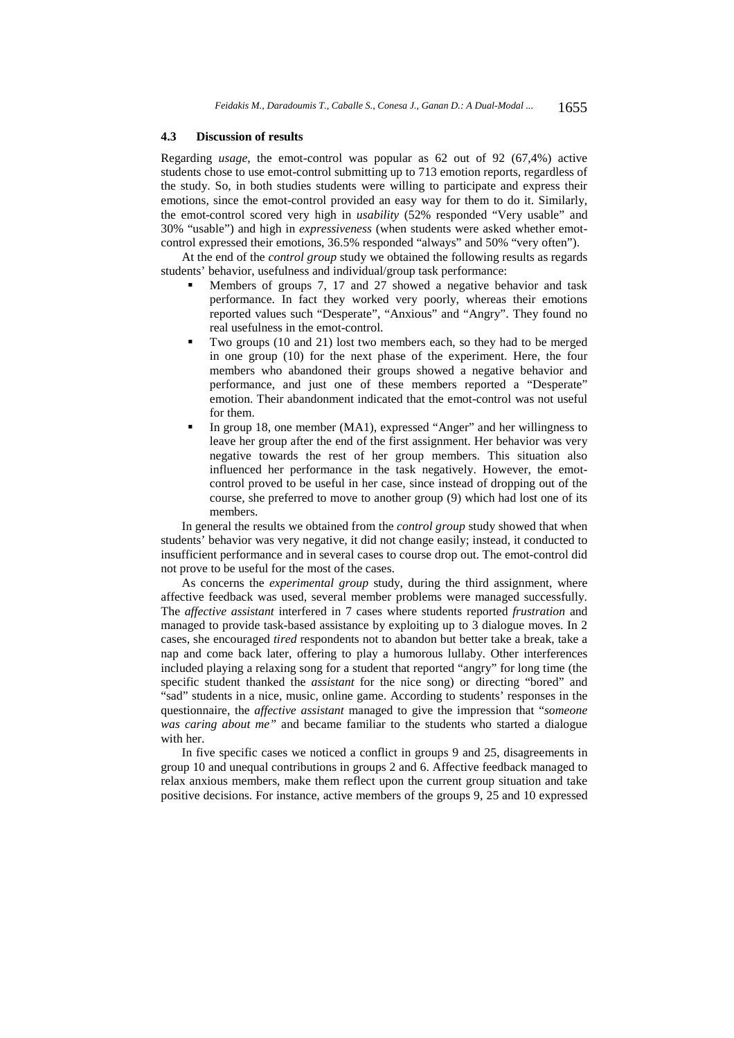### **4.3 Discussion of results**

Regarding *usage*, the emot-control was popular as 62 out of 92 (67,4%) active students chose to use emot-control submitting up to 713 emotion reports, regardless of the study. So, in both studies students were willing to participate and express their emotions, since the emot-control provided an easy way for them to do it. Similarly, the emot-control scored very high in *usability* (52% responded "Very usable" and 30% "usable") and high in *expressiveness* (when students were asked whether emotcontrol expressed their emotions, 36.5% responded "always" and 50% "very often").

At the end of the *control group* study we obtained the following results as regards students' behavior, usefulness and individual/group task performance:

- Members of groups 7, 17 and 27 showed a negative behavior and task performance. In fact they worked very poorly, whereas their emotions reported values such "Desperate", "Anxious" and "Angry". They found no real usefulness in the emot-control.
- Two groups (10 and 21) lost two members each, so they had to be merged in one group (10) for the next phase of the experiment. Here, the four members who abandoned their groups showed a negative behavior and performance, and just one of these members reported a "Desperate" emotion. Their abandonment indicated that the emot-control was not useful for them.
- In group 18, one member (MA1), expressed "Anger" and her willingness to leave her group after the end of the first assignment. Her behavior was very negative towards the rest of her group members. This situation also influenced her performance in the task negatively. However, the emotcontrol proved to be useful in her case, since instead of dropping out of the course, she preferred to move to another group (9) which had lost one of its members.

In general the results we obtained from the *control group* study showed that when students' behavior was very negative, it did not change easily; instead, it conducted to insufficient performance and in several cases to course drop out. The emot-control did not prove to be useful for the most of the cases.

As concerns the *experimental group* study, during the third assignment, where affective feedback was used, several member problems were managed successfully. The *affective assistant* interfered in 7 cases where students reported *frustration* and managed to provide task-based assistance by exploiting up to 3 dialogue moves. In 2 cases, she encouraged *tired* respondents not to abandon but better take a break, take a nap and come back later, offering to play a humorous lullaby. Other interferences included playing a relaxing song for a student that reported "angry" for long time (the specific student thanked the *assistant* for the nice song) or directing "bored" and "sad" students in a nice, music, online game. According to students' responses in the questionnaire, the *affective assistant* managed to give the impression that "*someone was caring about me"* and became familiar to the students who started a dialogue with her.

In five specific cases we noticed a conflict in groups 9 and 25, disagreements in group 10 and unequal contributions in groups 2 and 6. Affective feedback managed to relax anxious members, make them reflect upon the current group situation and take positive decisions. For instance, active members of the groups 9, 25 and 10 expressed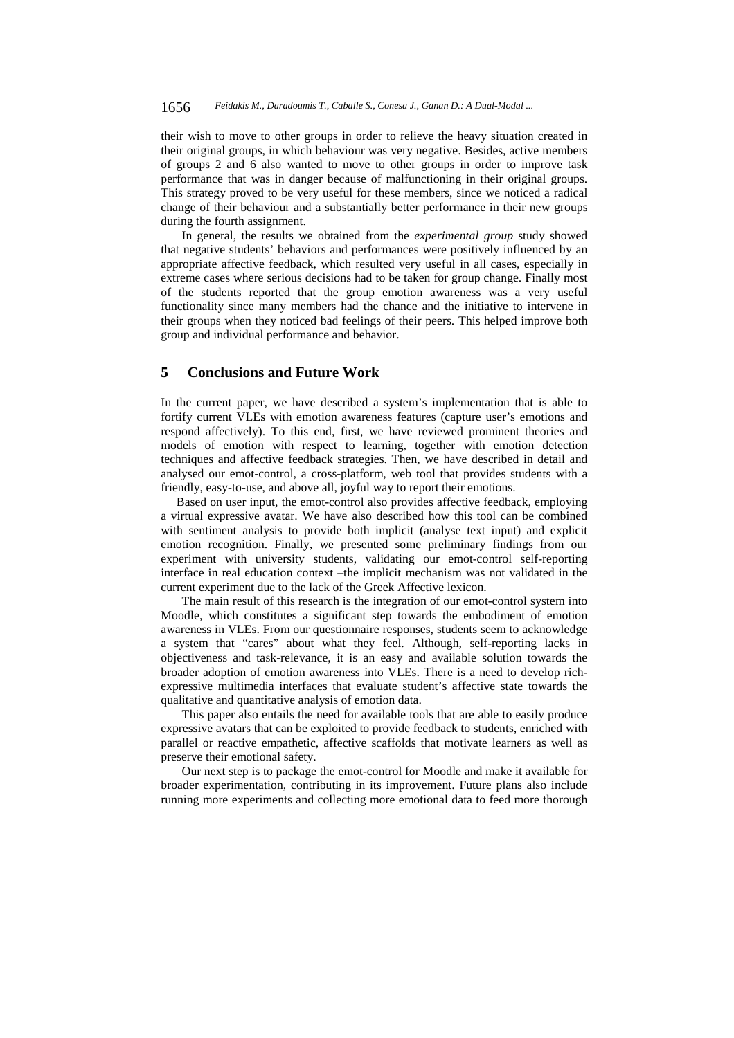their wish to move to other groups in order to relieve the heavy situation created in their original groups, in which behaviour was very negative. Besides, active members of groups 2 and 6 also wanted to move to other groups in order to improve task performance that was in danger because of malfunctioning in their original groups. This strategy proved to be very useful for these members, since we noticed a radical change of their behaviour and a substantially better performance in their new groups during the fourth assignment.

In general, the results we obtained from the *experimental group* study showed that negative students' behaviors and performances were positively influenced by an appropriate affective feedback, which resulted very useful in all cases, especially in extreme cases where serious decisions had to be taken for group change. Finally most of the students reported that the group emotion awareness was a very useful functionality since many members had the chance and the initiative to intervene in their groups when they noticed bad feelings of their peers. This helped improve both group and individual performance and behavior.

## **5 Conclusions and Future Work**

In the current paper, we have described a system's implementation that is able to fortify current VLEs with emotion awareness features (capture user's emotions and respond affectively). To this end, first, we have reviewed prominent theories and models of emotion with respect to learning, together with emotion detection techniques and affective feedback strategies. Then, we have described in detail and analysed our emot-control, a cross-platform, web tool that provides students with a friendly, easy-to-use, and above all, joyful way to report their emotions.

 Based on user input, the emot-control also provides affective feedback, employing a virtual expressive avatar. We have also described how this tool can be combined with sentiment analysis to provide both implicit (analyse text input) and explicit emotion recognition. Finally, we presented some preliminary findings from our experiment with university students, validating our emot-control self-reporting interface in real education context –the implicit mechanism was not validated in the current experiment due to the lack of the Greek Affective lexicon.

The main result of this research is the integration of our emot-control system into Moodle, which constitutes a significant step towards the embodiment of emotion awareness in VLEs. From our questionnaire responses, students seem to acknowledge a system that "cares" about what they feel. Although, self-reporting lacks in objectiveness and task-relevance, it is an easy and available solution towards the broader adoption of emotion awareness into VLEs. There is a need to develop richexpressive multimedia interfaces that evaluate student's affective state towards the qualitative and quantitative analysis of emotion data.

This paper also entails the need for available tools that are able to easily produce expressive avatars that can be exploited to provide feedback to students, enriched with parallel or reactive empathetic, affective scaffolds that motivate learners as well as preserve their emotional safety.

Our next step is to package the emot-control for Moodle and make it available for broader experimentation, contributing in its improvement. Future plans also include running more experiments and collecting more emotional data to feed more thorough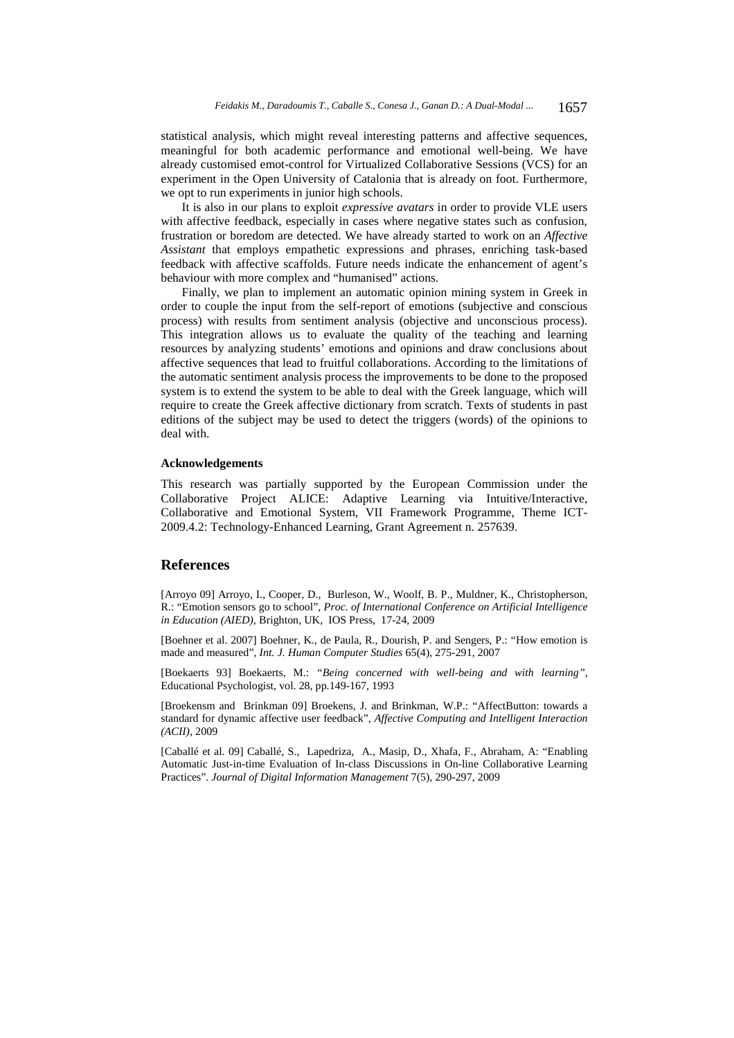statistical analysis, which might reveal interesting patterns and affective sequences, meaningful for both academic performance and emotional well-being. We have already customised emot-control for Virtualized Collaborative Sessions (VCS) for an experiment in the Open University of Catalonia that is already on foot. Furthermore, we opt to run experiments in junior high schools.

It is also in our plans to exploit *expressive avatars* in order to provide VLE users with affective feedback, especially in cases where negative states such as confusion, frustration or boredom are detected. We have already started to work on an *Affective Assistant* that employs empathetic expressions and phrases, enriching task-based feedback with affective scaffolds. Future needs indicate the enhancement of agent's behaviour with more complex and "humanised" actions.

Finally, we plan to implement an automatic opinion mining system in Greek in order to couple the input from the self-report of emotions (subjective and conscious process) with results from sentiment analysis (objective and unconscious process). This integration allows us to evaluate the quality of the teaching and learning resources by analyzing students' emotions and opinions and draw conclusions about affective sequences that lead to fruitful collaborations. According to the limitations of the automatic sentiment analysis process the improvements to be done to the proposed system is to extend the system to be able to deal with the Greek language, which will require to create the Greek affective dictionary from scratch. Texts of students in past editions of the subject may be used to detect the triggers (words) of the opinions to deal with.

#### **Acknowledgements**

This research was partially supported by the European Commission under the Collaborative Project ALICE: Adaptive Learning via Intuitive/Interactive, Collaborative and Emotional System, VII Framework Programme, Theme ICT-2009.4.2: Technology-Enhanced Learning, Grant Agreement n. 257639.

## **References**

[Arroyo 09] Arroyo, I., Cooper, D., Burleson, W., Woolf, B. P., Muldner, K., Christopherson, R.: "Emotion sensors go to school", *Proc. of International Conference on Artificial Intelligence in Education (AIED)*, Brighton, UK, IOS Press, 17-24, 2009

[Boehner et al. 2007] Boehner, K., de Paula, R., Dourish, P. and Sengers, P.: "How emotion is made and measured", *Int. J. Human Computer Studies* 65(4), 275-291, 2007

[Boekaerts 93] Boekaerts, M.: *"Being concerned with well-being and with learning",* Educational Psychologist, vol. 28, pp.149-167, 1993

[Broekensm and Brinkman 09] Broekens, J. and Brinkman, W.P.: "AffectButton: towards a standard for dynamic affective user feedback", *Affective Computing and Intelligent Interaction (ACII),* 2009

[Caballé et al. 09] Caballé, S., Lapedriza, A., Masip, D., Xhafa, F., Abraham, A: "Enabling Automatic Just-in-time Evaluation of In-class Discussions in On-line Collaborative Learning Practices". *Journal of Digital Information Management* 7(5), 290-297, 2009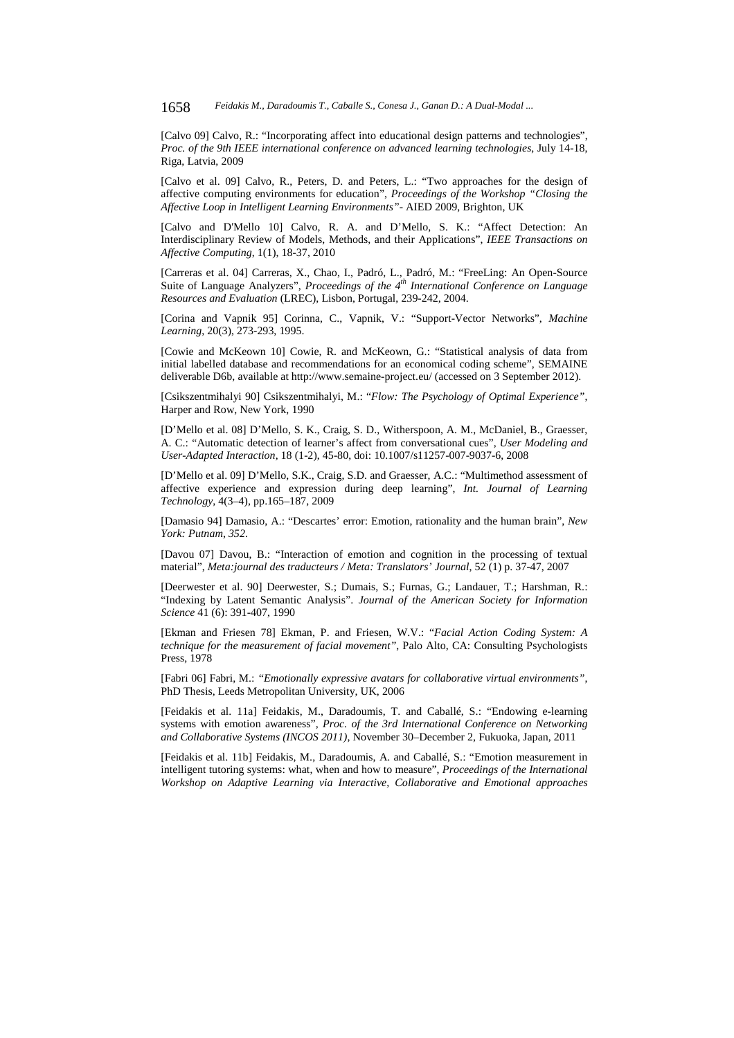[Calvo 09] Calvo, R.: "Incorporating affect into educational design patterns and technologies", *Proc. of the 9th IEEE international conference on advanced learning technologies*, July 14-18, Riga, Latvia, 2009

[Calvo et al. 09] Calvo, R., Peters, D. and Peters, L.: "Two approaches for the design of affective computing environments for education", *Proceedings of the Workshop "Closing the Affective Loop in Intelligent Learning Environments"*- AIED 2009, Brighton, UK

[Calvo and D'Mello 10] Calvo, R. A. and D'Mello, S. K.: "Affect Detection: An Interdisciplinary Review of Models, Methods, and their Applications", *IEEE Transactions on Affective Computing*, 1(1), 18-37, 2010

[Carreras et al. 04] Carreras, X., Chao, I., Padró, L., Padró, M.: "FreeLing: An Open-Source Suite of Language Analyzers", *Proceedings of the 4th International Conference on Language Resources and Evaluation* (LREC), Lisbon, Portugal, 239-242, 2004.

[Corina and Vapnik 95] Corinna, C., Vapnik, V.: "Support-Vector Networks", *Machine Learning*, 20(3), 273-293, 1995.

[Cowie and McKeown 10] Cowie, R. and McKeown, G.: "Statistical analysis of data from initial labelled database and recommendations for an economical coding scheme", SEMAINE deliverable D6b, available at http://www.semaine-project.eu/ (accessed on 3 September 2012).

[Csikszentmihalyi 90] Csikszentmihalyi, M.: "*Flow: The Psychology of Optimal Experience"*, Harper and Row, New York, 1990

[D'Mello et al. 08] D'Mello, S. K., Craig, S. D., Witherspoon, A. M., McDaniel, B., Graesser, A. C.: "Automatic detection of learner's affect from conversational cues", *User Modeling and User-Adapted Interaction*, 18 (1-2), 45-80, doi: 10.1007/s11257-007-9037-6, 2008

[D'Mello et al. 09] D'Mello, S.K., Craig, S.D. and Graesser, A.C.: "Multimethod assessment of affective experience and expression during deep learning", *Int. Journal of Learning Technology*, 4(3–4), pp.165–187, 2009

[Damasio 94] Damasio, A.: "Descartes' error: Emotion, rationality and the human brain", *New York: Putnam*, *352*.

[Davou 07] Davou, B.: "Interaction of emotion and cognition in the processing of textual material", *Meta:journal des traducteurs / Meta: Translators' Journal*, 52 (1) p. 37-47, 2007

[Deerwester et al. 90] Deerwester, S.; Dumais, S.; Furnas, G.; Landauer, T.; Harshman, R.: "Indexing by Latent Semantic Analysis". *Journal of the American Society for Information Science* 41 (6): 391-407, 1990

[Ekman and Friesen 78] Ekman, P. and Friesen, W.V.: "*Facial Action Coding System: A technique for the measurement of facial movement"*, Palo Alto, CA: Consulting Psychologists Press, 1978

[Fabri 06] Fabri, M.: *"Emotionally expressive avatars for collaborative virtual environments"*, PhD Thesis, Leeds Metropolitan University, UK, 2006

[Feidakis et al. 11a] Feidakis, M., Daradoumis, T. and Caballé, S.: "Endowing e-learning systems with emotion awareness", *Proc. of the 3rd International Conference on Networking and Collaborative Systems (INCOS 2011)*, November 30–December 2, Fukuoka, Japan, 2011

[Feidakis et al. 11b] Feidakis, M., Daradoumis, A. and Caballé, S.: "Emotion measurement in intelligent tutoring systems: what, when and how to measure", *Proceedings of the International Workshop on Adaptive Learning via Interactive, Collaborative and Emotional approaches*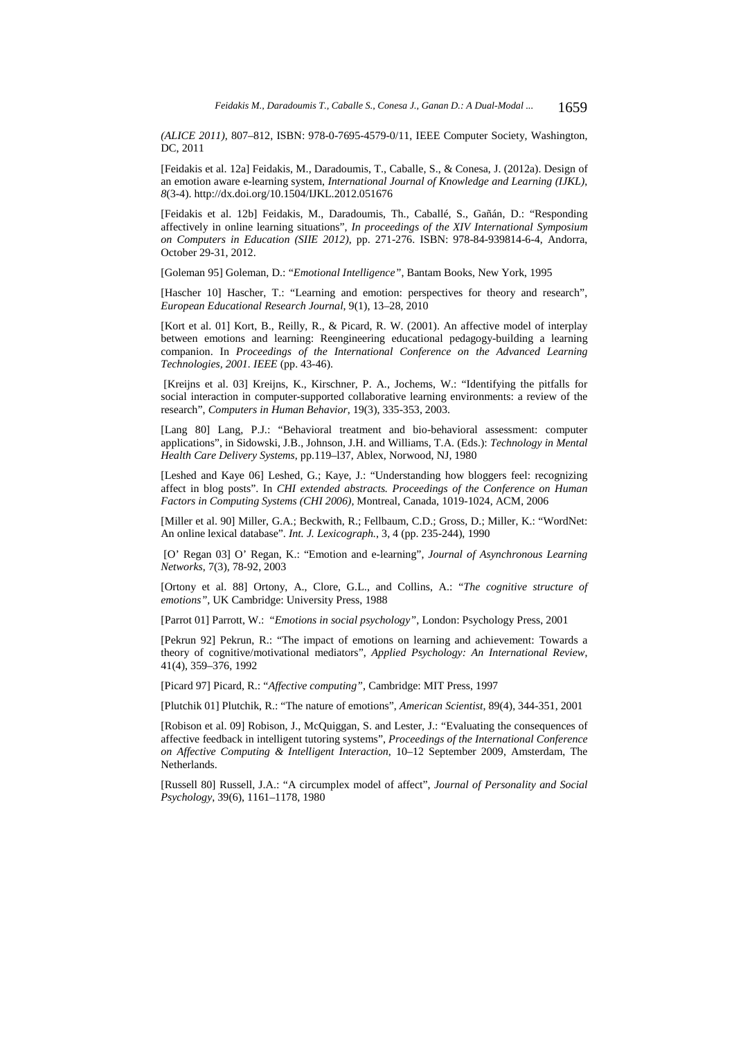*(ALICE 2011)*, 807–812, ISBN: 978-0-7695-4579-0/11, IEEE Computer Society, Washington, DC, 2011

[Feidakis et al. 12a] Feidakis, M., Daradoumis, T., Caballe, S., & Conesa, J. (2012a). Design of an emotion aware e-learning system, *International Journal of Knowledge and Learning (IJKL)*, *8*(3-4). http://dx.doi.org/10.1504/IJKL.2012.051676

[Feidakis et al. 12b] Feidakis, M., Daradoumis, Th., Caballé, S., Gañán, D.: "Responding affectively in online learning situations", *In proceedings of the XIV International Symposium on Computers in Education (SIIE 2012)*, pp. 271-276. ISBN: 978-84-939814-6-4, Andorra, October 29-31, 2012.

[Goleman 95] Goleman, D.: "*Emotional Intelligence"*, Bantam Books, New York, 1995

[Hascher 10] Hascher, T.: "Learning and emotion: perspectives for theory and research", *European Educational Research Journal*, 9(1), 13–28, 2010

[Kort et al. 01] Kort, B., Reilly, R., & Picard, R. W. (2001). An affective model of interplay between emotions and learning: Reengineering educational pedagogy-building a learning companion. In *Proceedings of the International Conference on the Advanced Learning Technologies, 2001. IEEE* (pp. 43-46).

 [Kreijns et al. 03] Kreijns, K., Kirschner, P. A., Jochems, W.: "Identifying the pitfalls for social interaction in computer-supported collaborative learning environments: a review of the research", *Computers in Human Behavior*, 19(3), 335-353, 2003.

[Lang 80] Lang, P.J.: "Behavioral treatment and bio-behavioral assessment: computer applications", in Sidowski, J.B., Johnson, J.H. and Williams, T.A. (Eds.): *Technology in Mental Health Care Delivery Systems*, pp.119–l37, Ablex, Norwood, NJ, 1980

[Leshed and Kaye 06] Leshed, G.; Kaye, J.: "Understanding how bloggers feel: recognizing affect in blog posts". In *CHI extended abstracts. Proceedings of the Conference on Human Factors in Computing Systems (CHI 2006)*, Montreal, Canada, 1019-1024, ACM, 2006

[Miller et al. 90] Miller, G.A.; Beckwith, R.; Fellbaum, C.D.; Gross, D.; Miller, K.: "WordNet: An online lexical database". *Int. J. Lexicograph.*, 3, 4 (pp. 235-244), 1990

 [O' Regan 03] O' Regan, K.: "Emotion and e-learning", *Journal of Asynchronous Learning Networks*, 7(3), 78-92, 2003

[Ortony et al. 88] Ortony, A., Clore, G.L., and Collins, A.: "*The cognitive structure of emotions"*, UK Cambridge: University Press, 1988

[Parrot 01] Parrott, W.: "*Emotions in social psychology"*, London: Psychology Press, 2001

[Pekrun 92] Pekrun, R.: "The impact of emotions on learning and achievement: Towards a theory of cognitive/motivational mediators", *Applied Psychology: An International Review*, 41(4), 359–376, 1992

[Picard 97] Picard, R.: "*Affective computing"*, Cambridge: MIT Press, 1997

[Plutchik 01] Plutchik, R.: "The nature of emotions", *American Scientist*, 89(4), 344-351, 2001

[Robison et al. 09] Robison, J., McQuiggan, S. and Lester, J.: "Evaluating the consequences of affective feedback in intelligent tutoring systems", *Proceedings of the International Conference on Affective Computing & Intelligent Interaction*, 10–12 September 2009, Amsterdam, The Netherlands.

[Russell 80] Russell, J.A.: "A circumplex model of affect", *Journal of Personality and Social Psychology*, 39(6), 1161–1178, 1980